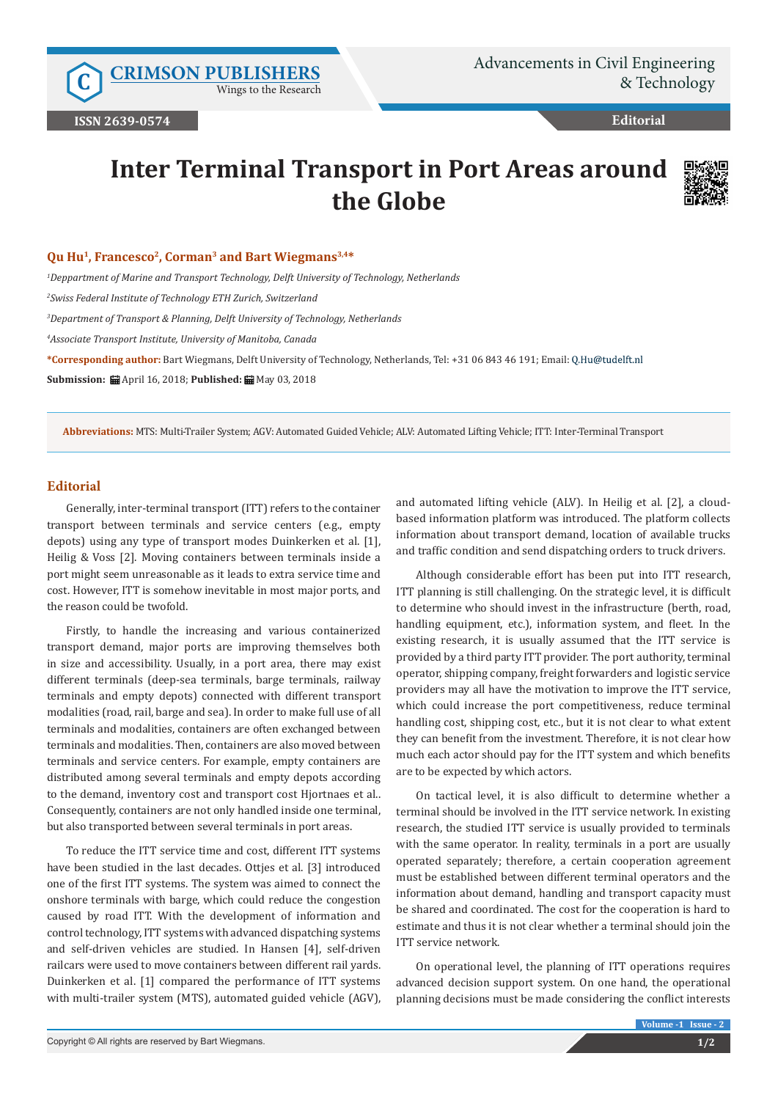Wings to the Research

# **Editorial**

# **Inter Terminal Transport in Port Areas around the Globe**



#### **Qu Hu1, Francesco2, Corman3 and Bart Wiegmans3,4\***

*1 Deppartment of Marine and Transport Technology, Delft University of Technology, Netherlands*

*2 Swiss Federal Institute of Technology ETH Zurich, Switzerland*

*3 Department of Transport & Planning, Delft University of Technology, Netherlands* 

*4 Associate Transport Institute, University of Manitoba, Canada*

**\*Corresponding author:** Bart Wiegmans, Delft University of Technology, Netherlands, Tel: +31 06 843 46 191; Email:

**Submission: 曲 April 16, 2018; Published: 曲 May 03, 2018** 

**Abbreviations:** MTS: Multi-Trailer System; AGV: Automated Guided Vehicle; ALV: Automated Lifting Vehicle; ITT: Inter-Terminal Transport

## **Editorial**

Generally, inter-terminal transport (ITT) refers to the container transport between terminals and service centers (e.g., empty depots) using any type of transport modes Duinkerken et al. [1], Heilig & Voss [2]. Moving containers between terminals inside a port might seem unreasonable as it leads to extra service time and cost. However, ITT is somehow inevitable in most major ports, and the reason could be twofold.

Firstly, to handle the increasing and various containerized transport demand, major ports are improving themselves both in size and accessibility. Usually, in a port area, there may exist different terminals (deep-sea terminals, barge terminals, railway terminals and empty depots) connected with different transport modalities (road, rail, barge and sea). In order to make full use of all terminals and modalities, containers are often exchanged between terminals and modalities. Then, containers are also moved between terminals and service centers. For example, empty containers are distributed among several terminals and empty depots according to the demand, inventory cost and transport cost Hjortnaes et al.. Consequently, containers are not only handled inside one terminal, but also transported between several terminals in port areas.

To reduce the ITT service time and cost, different ITT systems have been studied in the last decades. Ottjes et al. [3] introduced one of the first ITT systems. The system was aimed to connect the onshore terminals with barge, which could reduce the congestion caused by road ITT. With the development of information and control technology, ITT systems with advanced dispatching systems and self-driven vehicles are studied. In Hansen [4], self-driven railcars were used to move containers between different rail yards. Duinkerken et al. [1] compared the performance of ITT systems with multi-trailer system (MTS), automated guided vehicle (AGV),

and automated lifting vehicle (ALV). In Heilig et al. [2], a cloudbased information platform was introduced. The platform collects information about transport demand, location of available trucks and traffic condition and send dispatching orders to truck drivers.

Although considerable effort has been put into ITT research, ITT planning is still challenging. On the strategic level, it is difficult to determine who should invest in the infrastructure (berth, road, handling equipment, etc.), information system, and fleet. In the existing research, it is usually assumed that the ITT service is provided by a third party ITT provider. The port authority, terminal operator, shipping company, freight forwarders and logistic service providers may all have the motivation to improve the ITT service, which could increase the port competitiveness, reduce terminal handling cost, shipping cost, etc., but it is not clear to what extent they can benefit from the investment. Therefore, it is not clear how much each actor should pay for the ITT system and which benefits are to be expected by which actors.

On tactical level, it is also difficult to determine whether a terminal should be involved in the ITT service network. In existing research, the studied ITT service is usually provided to terminals with the same operator. In reality, terminals in a port are usually operated separately; therefore, a certain cooperation agreement must be established between different terminal operators and the information about demand, handling and transport capacity must be shared and coordinated. The cost for the cooperation is hard to estimate and thus it is not clear whether a terminal should join the ITT service network.

On operational level, the planning of ITT operations requires advanced decision support system. On one hand, the operational planning decisions must be made considering the conflict interests